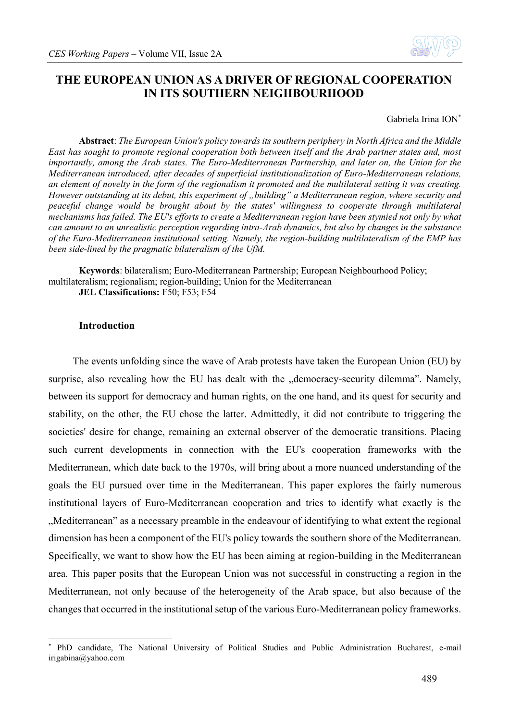

# **THE EUROPEAN UNION AS A DRIVER OF REGIONAL COOPERATION IN ITS SOUTHERN NEIGHBOURHOOD**

#### Gabriela Irina ION<sup>\*</sup>

**Abstract**: *The European Union's policy towards its southern periphery in North Africa and the Middle East has sought to promote regional cooperation both between itself and the Arab partner states and, most importantly, among the Arab states. The Euro-Mediterranean Partnership, and later on, the Union for the Mediterranean introduced, after decades of superficial institutionalization of Euro-Mediterranean relations, an element of novelty in the form of the regionalism it promoted and the multilateral setting it was creating. However outstanding at its debut, this experiment of "building" a Mediterranean region, where security and peaceful change would be brought about by the states' willingness to cooperate through multilateral mechanisms has failed. The EU's efforts to create a Mediterranean region have been stymied not only by what can amount to an unrealistic perception regarding intra-Arab dynamics, but also by changes in the substance of the Euro-Mediterranean institutional setting. Namely, the region-building multilateralism of the EMP has been side-lined by the pragmatic bilateralism of the UfM.*

**Keywords**: bilateralism; Euro-Mediterranean Partnership; European Neighbourhood Policy; multilateralism; regionalism; region-building; Union for the Mediterranean **JEL Classifications: F50; F53; F54** 

#### **Introduction**

1

The events unfolding since the wave of Arab protests have taken the European Union (EU) by surprise, also revealing how the EU has dealt with the "democracy-security dilemma". Namely, between its support for democracy and human rights, on the one hand, and its quest for security and stability, on the other, the EU chose the latter. Admittedly, it did not contribute to triggering the societies' desire for change, remaining an external observer of the democratic transitions. Placing such current developments in connection with the EU's cooperation frameworks with the Mediterranean, which date back to the 1970s, will bring about a more nuanced understanding of the goals the EU pursued over time in the Mediterranean. This paper explores the fairly numerous institutional layers of Euro-Mediterranean cooperation and tries to identify what exactly is the "Mediterranean" as a necessary preamble in the endeavour of identifying to what extent the regional dimension has been a component of the EU's policy towards the southern shore of the Mediterranean. Specifically, we want to show how the EU has been aiming at region-building in the Mediterranean area. This paper posits that the European Union was not successful in constructing a region in the Mediterranean, not only because of the heterogeneity of the Arab space, but also because of the changes that occurred in the institutional setup of the various Euro-Mediterranean policy frameworks.

<sup>\*</sup> PhD candidate, The National University of Political Studies and Public Administration Bucharest, e-mail irigabina@yahoo.com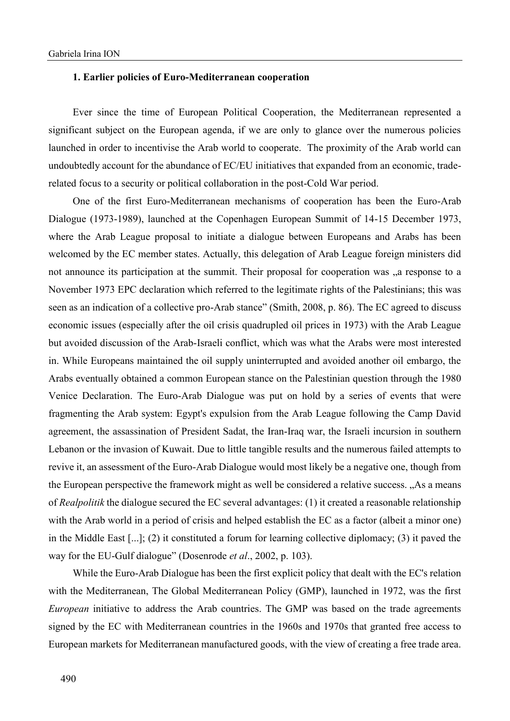#### **1. Earlier policies of Euro-Mediterranean cooperation**

Ever since the time of European Political Cooperation, the Mediterranean represented a significant subject on the European agenda, if we are only to glance over the numerous policies launched in order to incentivise the Arab world to cooperate. The proximity of the Arab world can undoubtedly account for the abundance of EC/EU initiatives that expanded from an economic, traderelated focus to a security or political collaboration in the post-Cold War period.

One of the first Euro-Mediterranean mechanisms of cooperation has been the Euro-Arab Dialogue (1973-1989), launched at the Copenhagen European Summit of 14-15 December 1973, where the Arab League proposal to initiate a dialogue between Europeans and Arabs has been welcomed by the EC member states. Actually, this delegation of Arab League foreign ministers did not announce its participation at the summit. Their proposal for cooperation was  $\alpha$  response to a November 1973 EPC declaration which referred to the legitimate rights of the Palestinians; this was seen as an indication of a collective pro-Arab stance" (Smith, 2008, p. 86). The EC agreed to discuss economic issues (especially after the oil crisis quadrupled oil prices in 1973) with the Arab League but avoided discussion of the Arab-Israeli conflict, which was what the Arabs were most interested in. While Europeans maintained the oil supply uninterrupted and avoided another oil embargo, the Arabs eventually obtained a common European stance on the Palestinian question through the 1980 Venice Declaration. The Euro-Arab Dialogue was put on hold by a series of events that were fragmenting the Arab system: Egypt's expulsion from the Arab League following the Camp David agreement, the assassination of President Sadat, the Iran-Iraq war, the Israeli incursion in southern Lebanon or the invasion of Kuwait. Due to little tangible results and the numerous failed attempts to revive it, an assessment of the Euro-Arab Dialogue would most likely be a negative one, though from the European perspective the framework might as well be considered a relative success. "As a means of *Realpolitik* the dialogue secured the EC several advantages: (1) it created a reasonable relationship with the Arab world in a period of crisis and helped establish the EC as a factor (albeit a minor one) in the Middle East [...]; (2) it constituted a forum for learning collective diplomacy; (3) it paved the way for the EU-Gulf dialogue" (Dosenrode *et al*., 2002, p. 103).

While the Euro-Arab Dialogue has been the first explicit policy that dealt with the EC's relation with the Mediterranean, The Global Mediterranean Policy (GMP), launched in 1972, was the first *European* initiative to address the Arab countries. The GMP was based on the trade agreements signed by the EC with Mediterranean countries in the 1960s and 1970s that granted free access to European markets for Mediterranean manufactured goods, with the view of creating a free trade area.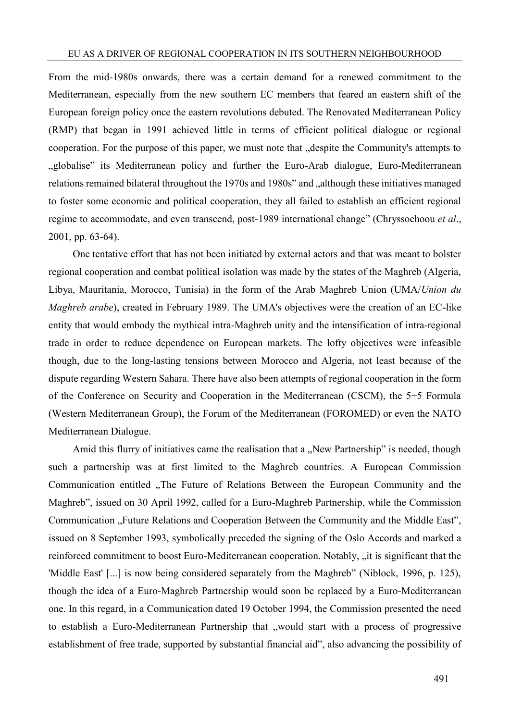From the mid-1980s onwards, there was a certain demand for a renewed commitment to the Mediterranean, especially from the new southern EC members that feared an eastern shift of the European foreign policy once the eastern revolutions debuted. The Renovated Mediterranean Policy (RMP) that began in 1991 achieved little in terms of efficient political dialogue or regional cooperation. For the purpose of this paper, we must note that "despite the Community's attempts to "globalise" its Mediterranean policy and further the Euro-Arab dialogue, Euro-Mediterranean relations remained bilateral throughout the 1970s and 1980s" and "although these initiatives managed to foster some economic and political cooperation, they all failed to establish an efficient regional regime to accommodate, and even transcend, post-1989 international change" (Chryssochoou *et al*., 2001, pp. 63-64).

One tentative effort that has not been initiated by external actors and that was meant to bolster regional cooperation and combat political isolation was made by the states of the Maghreb (Algeria, Libya, Mauritania, Morocco, Tunisia) in the form of the Arab Maghreb Union (UMA/*Union du Maghreb arabe*), created in February 1989. The UMA's objectives were the creation of an EC-like entity that would embody the mythical intra-Maghreb unity and the intensification of intra-regional trade in order to reduce dependence on European markets. The lofty objectives were infeasible though, due to the long-lasting tensions between Morocco and Algeria, not least because of the dispute regarding Western Sahara. There have also been attempts of regional cooperation in the form of the Conference on Security and Cooperation in the Mediterranean (CSCM), the 5+5 Formula (Western Mediterranean Group), the Forum of the Mediterranean (FOROMED) or even the NATO Mediterranean Dialogue.

Amid this flurry of initiatives came the realisation that a ...New Partnership" is needed, though such a partnership was at first limited to the Maghreb countries. A European Commission Communication entitled "The Future of Relations Between the European Community and the Maghreb", issued on 30 April 1992, called for a Euro-Maghreb Partnership, while the Commission Communication "Future Relations and Cooperation Between the Community and the Middle East", issued on 8 September 1993, symbolically preceded the signing of the Oslo Accords and marked a reinforced commitment to boost Euro-Mediterranean cooperation. Notably, "it is significant that the 'Middle East' [...] is now being considered separately from the Maghreb" (Niblock, 1996, p. 125), though the idea of a Euro-Maghreb Partnership would soon be replaced by a Euro-Mediterranean one. In this regard, in a Communication dated 19 October 1994, the Commission presented the need to establish a Euro-Mediterranean Partnership that "would start with a process of progressive establishment of free trade, supported by substantial financial aid", also advancing the possibility of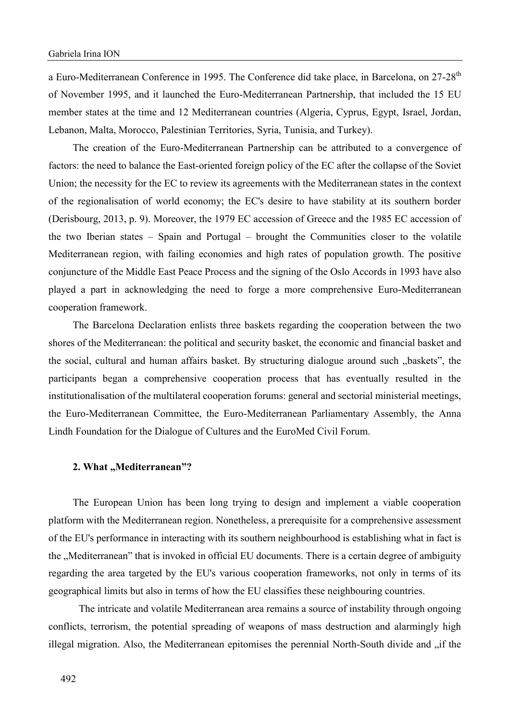a Euro-Mediterranean Conference in 1995. The Conference did take place, in Barcelona, on 27-28<sup>th</sup> of November 1995, and it launched the Euro-Mediterranean Partnership, that included the 15 EU member states at the time and 12 Mediterranean countries (Algeria, Cyprus, Egypt, Israel, Jordan, Lebanon, Malta, Morocco, Palestinian Territories, Syria, Tunisia, and Turkey).

The creation of the Euro-Mediterranean Partnership can be attributed to a convergence of factors: the need to balance the East-oriented foreign policy of the EC after the collapse of the Soviet Union; the necessity for the EC to review its agreements with the Mediterranean states in the context of the regionalisation of world economy; the EC's desire to have stability at its southern border (Derisbourg, 2013, p. 9). Moreover, the 1979 EC accession of Greece and the 1985 EC accession of the two Iberian states – Spain and Portugal – brought the Communities closer to the volatile Mediterranean region, with failing economies and high rates of population growth. The positive conjuncture of the Middle East Peace Process and the signing of the Oslo Accords in 1993 have also played a part in acknowledging the need to forge a more comprehensive Euro-Mediterranean cooperation framework.

The Barcelona Declaration enlists three baskets regarding the cooperation between the two shores of the Mediterranean: the political and security basket, the economic and financial basket and the social, cultural and human affairs basket. By structuring dialogue around such "baskets", the participants began a comprehensive cooperation process that has eventually resulted in the institutionalisation of the multilateral cooperation forums: general and sectorial ministerial meetings, the Euro-Mediterranean Committee, the Euro-Mediterranean Parliamentary Assembly, the Anna Lindh Foundation for the Dialogue of Cultures and the EuroMed Civil Forum.

## 2. What "Mediterranean"?

The European Union has been long trying to design and implement a viable cooperation platform with the Mediterranean region. Nonetheless, a prerequisite for a comprehensive assessment of the EU's performance in interacting with its southern neighbourhood is establishing what in fact is the "Mediterranean" that is invoked in official EU documents. There is a certain degree of ambiguity regarding the area targeted by the EU's various cooperation frameworks, not only in terms of its geographical limits but also in terms of how the EU classifies these neighbouring countries.

The intricate and volatile Mediterranean area remains a source of instability through ongoing conflicts, terrorism, the potential spreading of weapons of mass destruction and alarmingly high illegal migration. Also, the Mediterranean epitomises the perennial North-South divide and "if the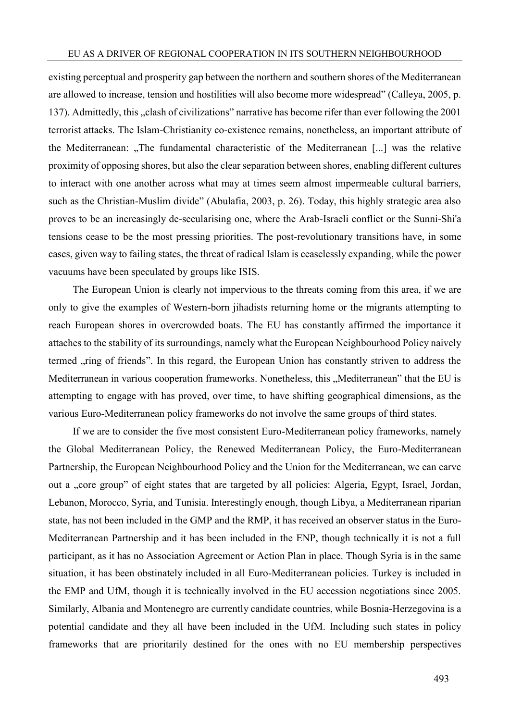existing perceptual and prosperity gap between the northern and southern shores of the Mediterranean are allowed to increase, tension and hostilities will also become more widespread" (Calleya, 2005, p. 137). Admittedly, this "clash of civilizations" narrative has become rifer than ever following the 2001 terrorist attacks. The Islam-Christianity co-existence remains, nonetheless, an important attribute of the Mediterranean: "The fundamental characteristic of the Mediterranean [...] was the relative proximity of opposing shores, but also the clear separation between shores, enabling different cultures to interact with one another across what may at times seem almost impermeable cultural barriers, such as the Christian-Muslim divide" (Abulafia, 2003, p. 26). Today, this highly strategic area also proves to be an increasingly de-secularising one, where the Arab-Israeli conflict or the Sunni-Shi'a tensions cease to be the most pressing priorities. The post-revolutionary transitions have, in some cases, given way to failing states, the threat of radical Islam is ceaselessly expanding, while the power vacuums have been speculated by groups like ISIS.

The European Union is clearly not impervious to the threats coming from this area, if we are only to give the examples of Western-born jihadists returning home or the migrants attempting to reach European shores in overcrowded boats. The EU has constantly affirmed the importance it attaches to the stability of its surroundings, namely what the European Neighbourhood Policy naively termed "ring of friends". In this regard, the European Union has constantly striven to address the Mediterranean in various cooperation frameworks. Nonetheless, this "Mediterranean" that the EU is attempting to engage with has proved, over time, to have shifting geographical dimensions, as the various Euro-Mediterranean policy frameworks do not involve the same groups of third states.

If we are to consider the five most consistent Euro-Mediterranean policy frameworks, namely the Global Mediterranean Policy, the Renewed Mediterranean Policy, the Euro-Mediterranean Partnership, the European Neighbourhood Policy and the Union for the Mediterranean, we can carve out a "core group" of eight states that are targeted by all policies: Algeria, Egypt, Israel, Jordan, Lebanon, Morocco, Syria, and Tunisia. Interestingly enough, though Libya, a Mediterranean riparian state, has not been included in the GMP and the RMP, it has received an observer status in the Euro-Mediterranean Partnership and it has been included in the ENP, though technically it is not a full participant, as it has no Association Agreement or Action Plan in place. Though Syria is in the same situation, it has been obstinately included in all Euro-Mediterranean policies. Turkey is included in the EMP and UfM, though it is technically involved in the EU accession negotiations since 2005. Similarly, Albania and Montenegro are currently candidate countries, while Bosnia-Herzegovina is a potential candidate and they all have been included in the UfM. Including such states in policy frameworks that are prioritarily destined for the ones with no EU membership perspectives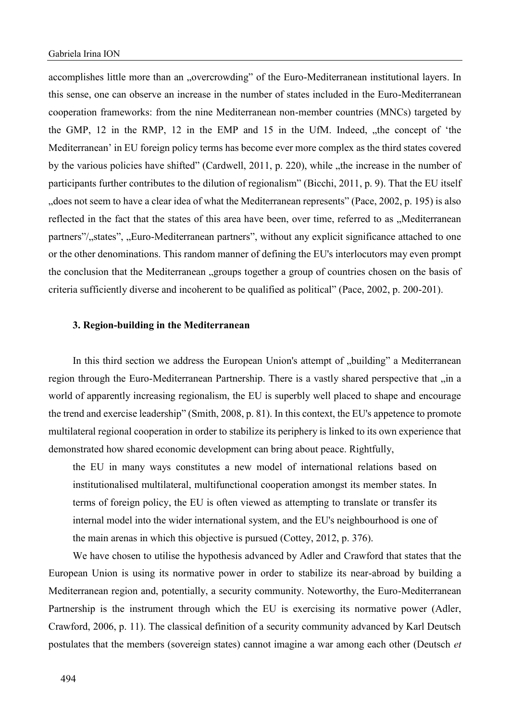accomplishes little more than an "overcrowding" of the Euro-Mediterranean institutional layers. In this sense, one can observe an increase in the number of states included in the Euro-Mediterranean cooperation frameworks: from the nine Mediterranean non-member countries (MNCs) targeted by the GMP,  $12$  in the RMP,  $12$  in the EMP and  $15$  in the UfM. Indeed,  $\mu$ , the concept of 'the Mediterranean' in EU foreign policy terms has become ever more complex as the third states covered by the various policies have shifted" (Cardwell, 2011, p. 220), while "the increase in the number of participants further contributes to the dilution of regionalism" (Bicchi, 2011, p. 9). That the EU itself "does not seem to have a clear idea of what the Mediterranean represents" (Pace, 2002, p. 195) is also reflected in the fact that the states of this area have been, over time, referred to as "Mediterranean partners"/<sub>states"</sub>,  $_{\rm w}$ Euro-Mediterranean partners", without any explicit significance attached to one or the other denominations. This random manner of defining the EU's interlocutors may even prompt the conclusion that the Mediterranean "groups together a group of countries chosen on the basis of criteria sufficiently diverse and incoherent to be qualified as political" (Pace, 2002, p. 200-201).

## **3. Region-building in the Mediterranean**

In this third section we address the European Union's attempt of "building" a Mediterranean region through the Euro-Mediterranean Partnership. There is a vastly shared perspective that "in a world of apparently increasing regionalism, the EU is superbly well placed to shape and encourage the trend and exercise leadership" (Smith, 2008, p. 81). In this context, the EU's appetence to promote multilateral regional cooperation in order to stabilize its periphery is linked to its own experience that demonstrated how shared economic development can bring about peace. Rightfully,

the EU in many ways constitutes a new model of international relations based on institutionalised multilateral, multifunctional cooperation amongst its member states. In terms of foreign policy, the EU is often viewed as attempting to translate or transfer its internal model into the wider international system, and the EU's neighbourhood is one of the main arenas in which this objective is pursued (Cottey, 2012, p. 376).

We have chosen to utilise the hypothesis advanced by Adler and Crawford that states that the European Union is using its normative power in order to stabilize its near-abroad by building a Mediterranean region and, potentially, a security community. Noteworthy, the Euro-Mediterranean Partnership is the instrument through which the EU is exercising its normative power (Adler, Crawford, 2006, p. 11). The classical definition of a security community advanced by Karl Deutsch postulates that the members (sovereign states) cannot imagine a war among each other (Deutsch *et*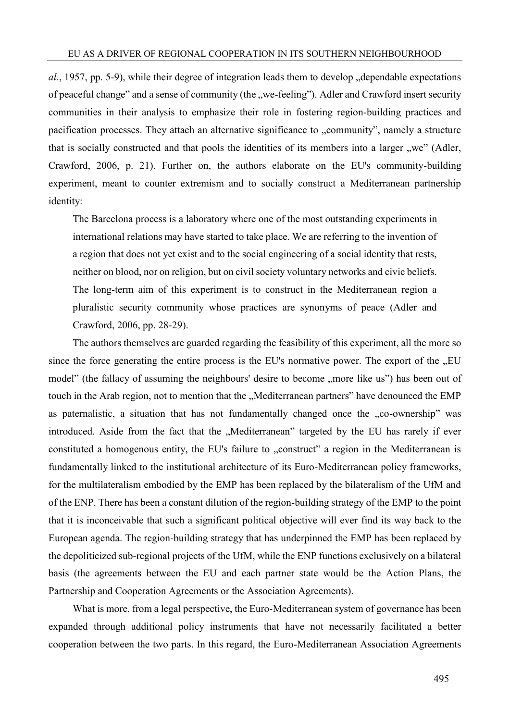*al*., 1957, pp. 5-9), while their degree of integration leads them to develop dependable expectations of peaceful change" and a sense of community (the "we-feeling"). Adler and Crawford insert security communities in their analysis to emphasize their role in fostering region-building practices and pacification processes. They attach an alternative significance to ...community", namely a structure that is socially constructed and that pools the identities of its members into a larger "we" (Adler, Crawford, 2006, p. 21). Further on, the authors elaborate on the EU's community-building experiment, meant to counter extremism and to socially construct a Mediterranean partnership identity:

The Barcelona process is a laboratory where one of the most outstanding experiments in international relations may have started to take place. We are referring to the invention of a region that does not yet exist and to the social engineering of a social identity that rests, neither on blood, nor on religion, but on civil society voluntary networks and civic beliefs. The long-term aim of this experiment is to construct in the Mediterranean region a pluralistic security community whose practices are synonyms of peace (Adler and Crawford, 2006, pp. 28-29).

The authors themselves are guarded regarding the feasibility of this experiment, all the more so since the force generating the entire process is the EU's normative power. The export of the "EU model" (the fallacy of assuming the neighbours' desire to become ,,more like us") has been out of touch in the Arab region, not to mention that the "Mediterranean partners" have denounced the EMP as paternalistic, a situation that has not fundamentally changed once the "co-ownership" was introduced. Aside from the fact that the "Mediterranean" targeted by the EU has rarely if ever constituted a homogenous entity, the EU's failure to "construct" a region in the Mediterranean is fundamentally linked to the institutional architecture of its Euro-Mediterranean policy frameworks, for the multilateralism embodied by the EMP has been replaced by the bilateralism of the UfM and of the ENP. There has been a constant dilution of the region-building strategy of the EMP to the point that it is inconceivable that such a significant political objective will ever find its way back to the European agenda. The region-building strategy that has underpinned the EMP has been replaced by the depoliticized sub-regional projects of the UfM, while the ENP functions exclusively on a bilateral basis (the agreements between the EU and each partner state would be the Action Plans, the Partnership and Cooperation Agreements or the Association Agreements).

What is more, from a legal perspective, the Euro-Mediterranean system of governance has been expanded through additional policy instruments that have not necessarily facilitated a better cooperation between the two parts. In this regard, the Euro-Mediterranean Association Agreements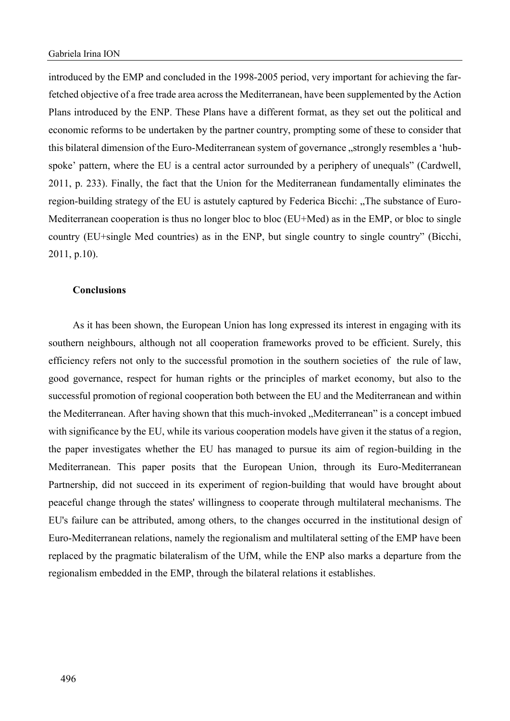introduced by the EMP and concluded in the 1998-2005 period, very important for achieving the farfetched objective of a free trade area across the Mediterranean, have been supplemented by the Action Plans introduced by the ENP. These Plans have a different format, as they set out the political and economic reforms to be undertaken by the partner country, prompting some of these to consider that this bilateral dimension of the Euro-Mediterranean system of governance "strongly resembles a 'hubspoke' pattern, where the EU is a central actor surrounded by a periphery of unequals" (Cardwell, 2011, p. 233). Finally, the fact that the Union for the Mediterranean fundamentally eliminates the region-building strategy of the EU is astutely captured by Federica Bicchi: "The substance of Euro-Mediterranean cooperation is thus no longer bloc to bloc (EU+Med) as in the EMP, or bloc to single country (EU+single Med countries) as in the ENP, but single country to single country" (Bicchi, 2011, p.10).

## **Conclusions**

As it has been shown, the European Union has long expressed its interest in engaging with its southern neighbours, although not all cooperation frameworks proved to be efficient. Surely, this efficiency refers not only to the successful promotion in the southern societies of the rule of law, good governance, respect for human rights or the principles of market economy, but also to the successful promotion of regional cooperation both between the EU and the Mediterranean and within the Mediterranean. After having shown that this much-invoked "Mediterranean" is a concept imbued with significance by the EU, while its various cooperation models have given it the status of a region, the paper investigates whether the EU has managed to pursue its aim of region-building in the Mediterranean. This paper posits that the European Union, through its Euro-Mediterranean Partnership, did not succeed in its experiment of region-building that would have brought about peaceful change through the states' willingness to cooperate through multilateral mechanisms. The EU's failure can be attributed, among others, to the changes occurred in the institutional design of Euro-Mediterranean relations, namely the regionalism and multilateral setting of the EMP have been replaced by the pragmatic bilateralism of the UfM, while the ENP also marks a departure from the regionalism embedded in the EMP, through the bilateral relations it establishes.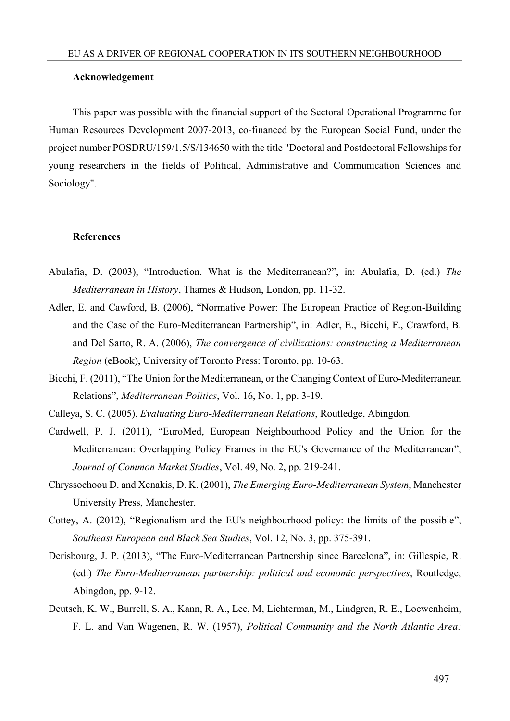### **Acknowledgement**

This paper was possible with the financial support of the Sectoral Operational Programme for Human Resources Development 2007-2013, co-financed by the European Social Fund, under the project number POSDRU/159/1.5/S/134650 with the title "Doctoral and Postdoctoral Fellowships for young researchers in the fields of Political, Administrative and Communication Sciences and Sociology".

### **References**

- Abulafia, D. (2003), "Introduction. What is the Mediterranean?", in: Abulafia, D. (ed.) *The Mediterranean in History*, Thames & Hudson, London, pp. 11-32.
- Adler, E. and Cawford, B. (2006), "Normative Power: The European Practice of Region-Building and the Case of the Euro-Mediterranean Partnership", in: Adler, E., Bicchi, F., Crawford, B. and Del Sarto, R. A. (2006), *The convergence of civilizations: constructing a Mediterranean Region* (eBook), University of Toronto Press: Toronto, pp. 10-63.
- Bicchi, F. (2011), "The Union for the Mediterranean, or the Changing Context of Euro-Mediterranean Relations", *Mediterranean Politics*, Vol. 16, No. 1, pp. 3-19.

Calleya, S. C. (2005), *Evaluating Euro-Mediterranean Relations*, Routledge, Abingdon.

- Cardwell, P. J. (2011), "EuroMed, European Neighbourhood Policy and the Union for the Mediterranean: Overlapping Policy Frames in the EU's Governance of the Mediterranean", *Journal of Common Market Studies*, Vol. 49, No. 2, pp. 219-241.
- Chryssochoou D. and Xenakis, D. K. (2001), *The Emerging Euro-Mediterranean System*, Manchester University Press, Manchester.
- Cottey, A. (2012), "Regionalism and the EU's neighbourhood policy: the limits of the possible", *Southeast European and Black Sea Studies*, Vol. 12, No. 3, pp. 375-391.
- Derisbourg, J. P. (2013), "The Euro-Mediterranean Partnership since Barcelona", in: Gillespie, R. (ed.) *The Euro-Mediterranean partnership: political and economic perspectives*, Routledge, Abingdon, pp. 9-12.
- Deutsch, K. W., Burrell, S. A., Kann, R. A., Lee, M, Lichterman, M., Lindgren, R. E., Loewenheim, F. L. and Van Wagenen, R. W. (1957), *Political Community and the North Atlantic Area:*